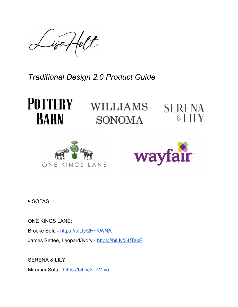iza Holt

*Traditional Design 2.0 Product Guide*



WILLIAMS SONOMA







▶ SOFAS

ONE KINGS LANE: Brooke Sofa - <https://bit.ly/2HhKWNA> James Settee, Leopard/Ivory - <https://bit.ly/34fTzkF>

SERENA & LILY:

Miramar Sofa - <https://bit.ly/2TdMivo>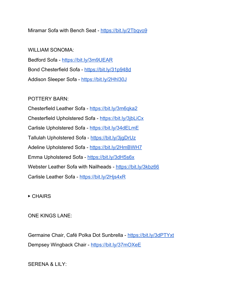Miramar Sofa with Bench Seat - <https://bit.ly/2Tbqvo9>

WILLIAM SONOMA: Bedford Sofa - <https://bit.ly/3m9UEAR> Bond Chesterfield Sofa - <https://bit.ly/31p948d> Addison Sleeper Sofa - <https://bit.ly/2Hhl30J>

POTTERY BARN:

Chesterfield Leather Sofa - <https://bit.ly/3m6qka2> Chesterfield Upholstered Sofa - <https://bit.ly/3jbLiCx> Carlisle Upholstered Sofa - <https://bit.ly/34dELmE> Tallulah Upholstered Sofa - https://bit.ly/3jqDrUz Adeline Upholstered Sofa - <https://bit.ly/2HmBWH7> Emma Upholstered Sofa - <https://bit.ly/3dH5s6x> Webster Leather Sofa with Nailheads - <https://bit.ly/3kbz66> Carlisle Leather Sofa - <https://bit.ly/2Hjs4xR>

# ▶ CHAIRS

ONE KINGS LANE:

Germaine Chair, Café Polka Dot Sunbrella - <https://bit.ly/3dPTYxt> Dempsey Wingback Chair - <https://bit.ly/37mOXeE>

SERENA & LILY: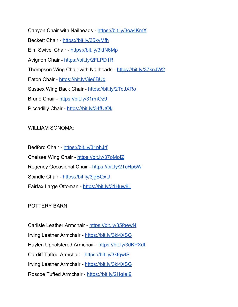Canyon Chair with Nailheads - <https://bit.ly/3oa4KmX> Beckett Chair - <https://bit.ly/35kyMfh> Elm Swivel Chair - <https://bit.ly/3kfN6Mp> Avignon Chair - <https://bit.ly/2FLPD1R> Thompson Wing Chair with Nailheads - <https://bit.ly/37knJW2> Eaton Chair - <https://bit.ly/3je6BUg> Sussex Wing Back Chair - <https://bit.ly/2TdJXRo> Bruno Chair - <https://bit.ly/31rmOz9> Piccadilly Chair - <https://bit.ly/34fUtOk>

#### WILLIAM SONOMA:

Bedford Chair - <https://bit.ly/31phJrf> Chelsea Wing Chair - <https://bit.ly/37oMoIZ> Regency Occasional Chair - <https://bit.ly/2TcHp5W> Spindle Chair - https://bit.ly/3jqBQxU Fairfax Large Ottoman - <https://bit.ly/31Huw8L>

#### POTTERY BARN:

Carlisle Leather Armchair - <https://bit.ly/35fgewN> Irving Leather Armchair - <https://bit.ly/3ki4XSG> Haylen Upholstered Armchair - https://bit.ly/3dKPXdl Cardiff Tufted Armchair - <https://bit.ly/3kfgwtS> Irving Leather Armchair - <https://bit.ly/3ki4XSG> Roscoe Tufted Armchair - https://bit.ly/2Hglel9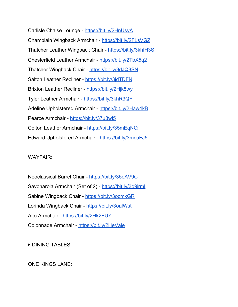Carlisle Chaise Lounge - <https://bit.ly/2HnUsyA> Champlain Wingback Armchair - <https://bit.ly/2FLsVGZ> Thatcher Leather Wingback Chair - <https://bit.ly/3khfH3S> Chesterfield Leather Armchair - <https://bit.ly/2TbX5q2> Thatcher Wingback Chair - <https://bit.ly/3dJQ3SN> Salton Leather Recliner - <https://bit.ly/3jdTDFN> Brixton Leather Recliner - <https://bit.ly/2Hjk8wy> Tyler Leather Armchair - <https://bit.ly/3khR3QF> Adeline Upholstered Armchair - <https://bit.ly/2Haw4kB> Pearce Armchair - <https://bit.ly/37u8wl5> Colton Leather Armchair - <https://bit.ly/35mEqNQ> Edward Upholstered Armchair - <https://bit.ly/3mcuFJ5>

WAYFAIR:

Neoclassical Barrel Chair - <https://bit.ly/35oAV9C> Savonarola Armchair (Set of 2) - <https://bit.ly/3o9irml> Sabine Wingback Chair - <https://bit.ly/3ocmkGR> Lorinda Wingback Chair - <https://bit.ly/3oalWst> Alto Armchair - <https://bit.ly/2Hk2FUY> Colonnade Armchair - <https://bit.ly/2HeVaie>

▶ DINING TABLES

ONE KINGS LANE: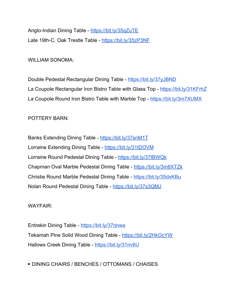Anglo-Indian Dining Table - <https://bit.ly/35qZuTE> Late 19th-C. Oak Trestle Table - <https://bit.ly/35zP3NF>

WILLIAM SONOMA:

Double Pedestal Rectangular Dining Table - <https://bit.ly/37yJBND> La Coupole Rectangular Iron Bistro Table with Glass Top - <https://bit.ly/31KFrhZ> La Coupole Round Iron Bistro Table with Marble Top - <https://bit.ly/3m7XUMX>

POTTERY BARN:

Banks Extending Dining Table - <https://bit.ly/37snM1T> Lorraine Extending Dining Table - <https://bit.ly/31tDOVM> Lorraine Round Pedestal Dining Table - <https://bit.ly/37tBWQk> Chapman Oval Marble Pedestal Dining Table - <https://bit.ly/3m8XTZk> Christie Round Marble Pedestal Dining Table - <https://bit.ly/35dxKBu> Nolan Round Pedestal Dining Table - <https://bit.ly/37s3QMJ>

WAYFAIR:

Entrekin Dining Table - <https://bit.ly/37rjnwa> Tekamah Pine Solid Wood Dining Table - <https://bit.ly/2HkOcYW> Hallows Creek Dining Table - <https://bit.ly/31riv6U>

▶ DINING CHAIRS / BENCHES / OTTOMANS / CHAISES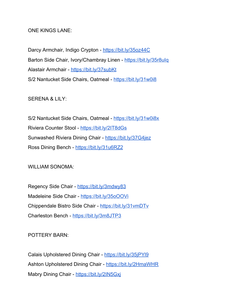#### ONE KINGS LANE:

Darcy Armchair, Indigo Crypton - <https://bit.ly/35oz44C> Barton Side Chair, Ivory/Chambray Linen - <https://bit.ly/35r8uIq> Alastair Armchair - <https://bit.ly/37subKt> S/2 Nantucket Side Chairs, Oatmeal - <https://bit.ly/31w0i8>

SERENA & LILY:

S/2 Nantucket Side Chairs, Oatmeal - <https://bit.ly/31w0i8x> Riviera Counter Stool - <https://bit.ly/2IT8dGs> Sunwashed Riviera Dining Chair - <https://bit.ly/37G4jez> Ross Dining Bench - <https://bit.ly/31u6RZ2>

WILLIAM SONOMA:

Regency Side Chair - <https://bit.ly/3mdwy83> Madeleine Side Chair - <https://bit.ly/35oOOVi> Chippendale Bistro Side Chair - <https://bit.ly/31vmDTv> Charleston Bench - <https://bit.ly/3m8JTP3>

POTTERY BARN:

Calais Upholstered Dining Chair - <https://bit.ly/35jPYl9> Ashton Upholstered Dining Chair - <https://bit.ly/2HmaWHR> Mabry Dining Chair - https://bit.ly/2IN5Gxi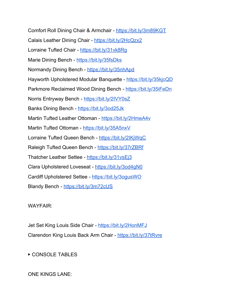Comfort Roll Dining Chair & Armchair - <https://bit.ly/3m89KGT> Calais Leather Dining Chair - <https://bit.ly/2HcQzx2> Lorraine Tufted Chair - https://bit.ly/31vk8Rq Marie Dining Bench - <https://bit.ly/35fsDks> Normandy Dining Bench - <https://bit.ly/35nhApd> Hayworth Upholstered Modular Banquette - <https://bit.ly/35kjcQD> Parkmore Reclaimed Wood Dining Bench - <https://bit.ly/35iFeDn> Norris Entryway Bench - <https://bit.ly/2IVY0sZ> Banks Dining Bench - <https://bit.ly/3od25Jk> Martin Tufted Leather Ottoman - <https://bit.ly/2HmeA4v> Martin Tufted Ottoman - <https://bit.ly/35A5nxV> Lorraine Tufted Queen Bench - <https://bit.ly/2IKjWqC> Raleigh Tufted Queen Bench - <https://bit.ly/37rZBRf> Thatcher Leather Settee - <https://bit.ly/31vsEj3> Clara Upholstered Loveseat - <https://bit.ly/3od4gN0> Cardiff Upholstered Settee - <https://bit.ly/3ogusWO> Blandy Bench - <https://bit.ly/3m72cUS>

WAYFAIR:

Jet Set King Louis Side Chair - <https://bit.ly/2HonMFJ> Clarendon King Louis Back Arm Chair - <https://bit.ly/37tRvre>

▶ CONSOLE TABLES

ONE KINGS LANE: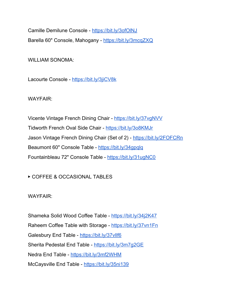Camille Demilune Console - <https://bit.ly/3ofOlNJ> Barella 60" Console, Mahogany - <https://bit.ly/3mcqZXQ>

WILLIAM SONOMA:

Lacourte Console - <https://bit.ly/3jiCV8k>

WAYFAIR:

Vicente Vintage French Dining Chair - <https://bit.ly/37vgNVV> Tidworth French Oval Side Chair - <https://bit.ly/3o8KMJr> Jason Vintage French Dining Chair (Set of 2) - <https://bit.ly/2FOFCRn> Beaumont 60" Console Table - <https://bit.ly/34gpqlq> Fountainbleau 72" Console Table - <https://bit.ly/31ugNC0>

▶ COFFEE & OCCASIONAL TABLES

WAYFAIR:

Shameka Solid Wood Coffee Table - <https://bit.ly/34j2K47> Raheem Coffee Table with Storage - <https://bit.ly/37vn1Fn> Galesbury End Table - <https://bit.ly/37vllf6> Sherita Pedestal End Table - <https://bit.ly/3m7g2GE> Nedra End Table - <https://bit.ly/3mf2WHM> McCaysville End Table - <https://bit.ly/35ni139>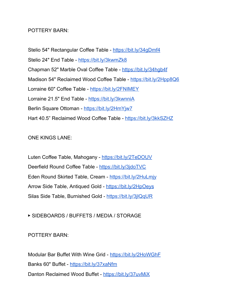### POTTERY BARN:

Stelio 54" Rectangular Coffee Table - <https://bit.ly/34gDmf4> Stelio 24" End Table - <https://bit.ly/3kwmZk8> Chapman 52" Marble Oval Coffee Table - <https://bit.ly/34hgb4f> Madison 54" Reclaimed Wood Coffee Table - <https://bit.ly/2Hpp8Q6> Lorraine 60" Coffee Table - <https://bit.ly/2FNIMEY> Lorraine 21.5" End Table - <https://bit.ly/3kwnniA> Berlin Square Ottoman - <https://bit.ly/2HmYjw7> Hart 40.5" Reclaimed Wood Coffee Table - <https://bit.ly/3kkSZHZ>

### ONE KINGS LANE:

Luten Coffee Table, Mahogany - <https://bit.ly/2TeDOUV> Deerfield Round Coffee Table - <https://bit.ly/3jdoTVC> Eden Round Skirted Table, Cream - <https://bit.ly/2HuLmjy> Arrow Side Table, Antiqued Gold - <https://bit.ly/2HpOeys> Silas Side Table, Burnished Gold - <https://bit.ly/3jlQqUR>

# ▶ SIDEBOARDS / BUFFETS / MEDIA / STORAGE

# POTTERY BARN:

Modular Bar Buffet With Wine Grid - <https://bit.ly/2HoWGhF> Banks 60" Buffet - <https://bit.ly/37xaNfm> Danton Reclaimed Wood Buffet - <https://bit.ly/37uvMiX>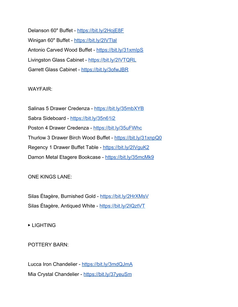Delanson 60" Buffet - <https://bit.ly/2HojE8F> Winigan 60" Buffet - <https://bit.ly/2IVTlal> Antonio Carved Wood Buffet - https://bit.ly/31xmlpS Livingston Glass Cabinet - <https://bit.ly/2IVTQRL> Garrett Glass Cabinet - <https://bit.ly/3ofwJBR>

### WAYFAIR:

Salinas 5 Drawer Credenza - <https://bit.ly/35mbXYB> Sabra Sideboard - <https://bit.ly/35n61i2> Poston 4 Drawer Credenza - <https://bit.ly/35uFWhc> Thurlow 3 Drawer Birch Wood Buffet - <https://bit.ly/31xnpQ0> Regency 1 Drawer Buffet Table - <https://bit.ly/2IVguK2> Damon Metal Etagere Bookcase - <https://bit.ly/35mcMk9>

# ONE KINGS LANE:

Silas Étagère, Burnished Gold - <https://bit.ly/2HrXMsV> Silas Étagère, Antiqued White - <https://bit.ly/2IQztVT>

▶ LIGHTING

POTTERY BARN:

Lucca Iron Chandelier - <https://bit.ly/3mdQJmA> Mia Crystal Chandelier - <https://bit.ly/37yeuSm>